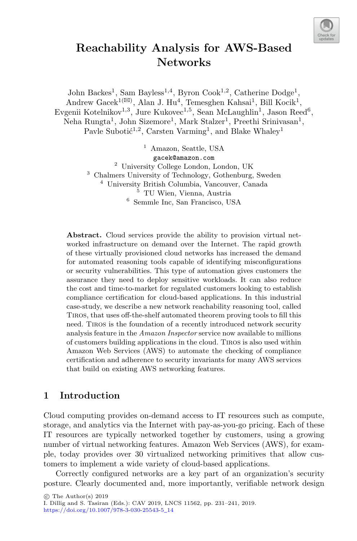

# **Reachability Analysis for AWS-Based Networks**

John Backes<sup>1</sup>, Sam Bayless<sup>1,4</sup>, Byron Cook<sup>1,2</sup>, Catherine Dodge<sup>1</sup>, Andrew Gacek<sup>1( $\boxtimes$ )</sup>, Alan J. Hu<sup>4</sup>, Temesghen Kahsai<sup>1</sup>, Bill Kocik<sup>1</sup>, Evgenii Kotelnikov<sup>1,3</sup>, Jure Kukovec<sup>1,5</sup>, Sean McLaughlin<sup>1</sup>, Jason Reed<sup>6</sup>, Neha Rungta<sup>1</sup>, John Sizemore<sup>1</sup>, Mark Stalzer<sup>1</sup>, Preethi Srinivasan<sup>1</sup>, Pavle Suboti $\zeta^{1,2}$ , Carsten Varming<sup>1</sup>, and Blake Whaley<sup>1</sup>

> <sup>1</sup> Amazon, Seattle, USA gacek@amazon.com University College London, London, UK Chalmers University of Technology, Gothenburg, Sweden University British Columbia, Vancouver, Canada TU Wien, Vienna, Austria Semmle Inc, San Francisco, USA

**Abstract.** Cloud services provide the ability to provision virtual networked infrastructure on demand over the Internet. The rapid growth of these virtually provisioned cloud networks has increased the demand for automated reasoning tools capable of identifying misconfigurations or security vulnerabilities. This type of automation gives customers the assurance they need to deploy sensitive workloads. It can also reduce the cost and time-to-market for regulated customers looking to establish compliance certification for cloud-based applications. In this industrial case-study, we describe a new network reachability reasoning tool, called Tiros, that uses off-the-shelf automated theorem proving tools to fill this need. Tiros is the foundation of a recently introduced network security analysis feature in the *Amazon Inspector* service now available to millions of customers building applications in the cloud. Tiros is also used within Amazon Web Services (AWS) to automate the checking of compliance certification and adherence to security invariants for many AWS services that build on existing AWS networking features.

## **1 Introduction**

Cloud computing provides on-demand access to IT resources such as compute, storage, and analytics via the Internet with pay-as-you-go pricing. Each of these IT resources are typically networked together by customers, using a growing number of virtual networking features. Amazon Web Services (AWS), for example, today provides over 30 virtualized networking primitives that allow customers to implement a wide variety of cloud-based applications.

Correctly configured networks are a key part of an organization's security posture. Clearly documented and, more importantly, verifiable network design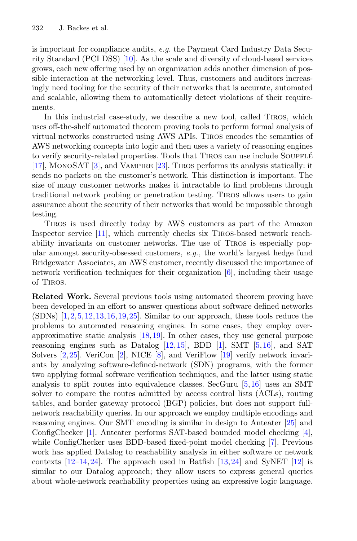is important for compliance audits, *e.g.* the Payment Card Industry Data Security Standard (PCI DSS) [\[10\]](#page-9-5). As the scale and diversity of cloud-based services grows, each new offering used by an organization adds another dimension of possible interaction at the networking level. Thus, customers and auditors increasingly need tooling for the security of their networks that is accurate, automated and scalable, allowing them to automatically detect violations of their requirements.

In this industrial case-study, we describe a new tool, called TIROS, which uses off-the-shelf automated theorem proving tools to perform formal analysis of virtual networks constructed using AWS APIs. Tiros encodes the semantics of AWS networking concepts into logic and then uses a variety of reasoning engines to verify security-related properties. Tools that TIROS can use include SOUFFLE [\[17](#page-9-12)], MonoSAT [\[3\]](#page-8-3), and Vampire [\[23\]](#page-10-0). Tiros performs its analysis statically: it sends no packets on the customer's network. This distinction is important. The size of many customer networks makes it intractable to find problems through traditional network probing or penetration testing. Tiros allows users to gain assurance about the security of their networks that would be impossible through testing.

Tiros is used directly today by AWS customers as part of the Amazon Inspector service [\[11](#page-9-8)], which currently checks six Tiros-based network reachability invariants on customer networks. The use of Tiros is especially popular amongst security-obsessed customers, *e.g.,* the world's largest hedge fund Bridgewater Associates, an AWS customer, recently discussed the importance of network verification techniques for their organization [\[6](#page-9-6)], including their usage of Tiros.

**Related Work.** Several previous tools using automated theorem proving have been developed in an effort to answer questions about software defined networks  $(SDNS)$  [\[1](#page-8-0),[2,](#page-8-1)[5,](#page-8-2)[12](#page-9-2)[,13,](#page-9-3)[16](#page-9-0)[,19](#page-9-4)[,25](#page-10-1)]. Similar to our approach, these tools reduce the problems to automated reasoning engines. In some cases, they employ overapproximative static analysis [\[18,](#page-9-7)[19\]](#page-9-4). In other cases, they use general purpose reasoning engines such as Datalog  $[12,15]$  $[12,15]$ , BDD  $[1]$ , SMT  $[5,16]$  $[5,16]$ , and SAT Solvers [\[2](#page-8-1)[,25](#page-10-1)]. VeriCon [\[2](#page-8-1)], NICE [\[8](#page-9-1)], and VeriFlow [\[19\]](#page-9-4) verify network invariants by analyzing software-defined-network (SDN) programs, with the former two applying formal software verification techniques, and the latter using static analysis to split routes into equivalence classes. SecGuru [\[5](#page-8-2)[,16](#page-9-0)] uses an SMT solver to compare the routes admitted by access control lists (ACLs), routing tables, and border gateway protocol (BGP) policies, but does not support fullnetwork reachability queries. In our approach we employ multiple encodings and reasoning engines. Our SMT encoding is similar in design to Anteater [\[25\]](#page-10-1) and ConfigChecker [\[1](#page-8-0)]. Anteater performs SAT-based bounded model checking [\[4\]](#page-8-4), while ConfigChecker uses BDD-based fixed-point model checking [\[7](#page-9-10)]. Previous work has applied Datalog to reachability analysis in either software or network contexts  $[12-14,24]$  $[12-14,24]$  $[12-14,24]$  $[12-14,24]$ . The approach used in Batfish  $[13,24]$  $[13,24]$  and SyNET  $[12]$  is similar to our Datalog approach; they allow users to express general queries about whole-network reachability properties using an expressive logic language.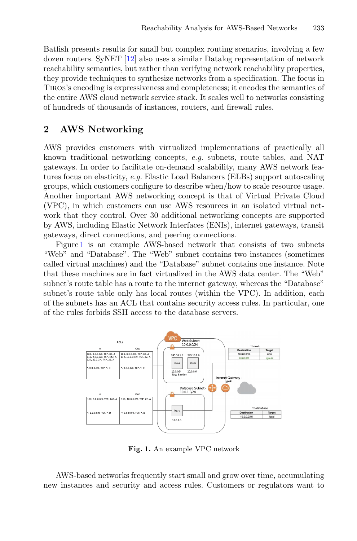Batfish presents results for small but complex routing scenarios, involving a few dozen routers. SyNET [\[12\]](#page-9-2) also uses a similar Datalog representation of network reachability semantics, but rather than verifying network reachability properties, they provide techniques to synthesize networks from a specification. The focus in Tiros's encoding is expressiveness and completeness; it encodes the semantics of the entire AWS cloud network service stack. It scales well to networks consisting of hundreds of thousands of instances, routers, and firewall rules.

### <span id="page-2-1"></span>**2 AWS Networking**

AWS provides customers with virtualized implementations of practically all known traditional networking concepts, *e.g.* subnets, route tables, and NAT gateways. In order to facilitate on-demand scalability, many AWS network features focus on elasticity, *e.g.* Elastic Load Balancers (ELBs) support autoscaling groups, which customers configure to describe when/how to scale resource usage. Another important AWS networking concept is that of Virtual Private Cloud (VPC), in which customers can use AWS resources in an isolated virtual network that they control. Over 30 additional networking concepts are supported by AWS, including Elastic Network Interfaces (ENIs), internet gateways, transit gateways, direct connections, and peering connections.

Figure [1](#page-2-0) is an example AWS-based network that consists of two subnets "Web" and "Database". The "Web" subnet contains two instances (sometimes called virtual machines) and the "Database" subnet contains one instance. Note that these machines are in fact virtualized in the AWS data center. The "Web" subnet's route table has a route to the internet gateway, whereas the "Database" subnet's route table only has local routes (within the VPC). In addition, each of the subnets has an ACL that contains security access rules. In particular, one of the rules forbids SSH access to the database servers.



<span id="page-2-0"></span>**Fig. 1.** An example VPC network

AWS-based networks frequently start small and grow over time, accumulating new instances and security and access rules. Customers or regulators want to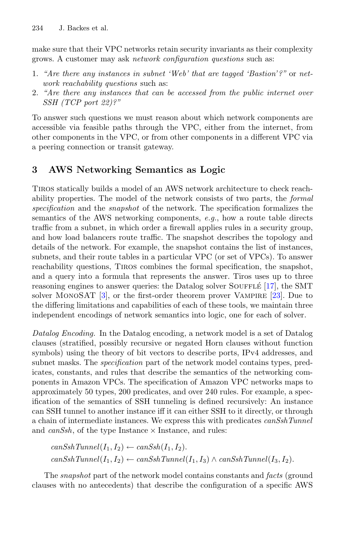make sure that their VPC networks retain security invariants as their complexity grows. A customer may ask *network configuration questions* such as:

- 1. *"Are there any instances in subnet 'Web' that are tagged 'Bastion'?"* or *network reachability questions* such as:
- 2. *"Are there any instances that can be accessed from the public internet over SSH (TCP port 22)?"*

To answer such questions we must reason about which network components are accessible via feasible paths through the VPC, either from the internet, from other components in the VPC, or from other components in a different VPC via a peering connection or transit gateway.

# **3 AWS Networking Semantics as Logic**

Tiros statically builds a model of an AWS network architecture to check reachability properties. The model of the network consists of two parts, the *formal specification* and the *snapshot* of the network. The specification formalizes the semantics of the AWS networking components, *e.g.*, how a route table directs traffic from a subnet, in which order a firewall applies rules in a security group, and how load balancers route traffic. The snapshot describes the topology and details of the network. For example, the snapshot contains the list of instances, subnets, and their route tables in a particular VPC (or set of VPCs). To answer reachability questions, Tiros combines the formal specification, the snapshot, and a query into a formula that represents the answer. Tiros uses up to three reasoning engines to answer queries: the Datalog solver SOUFFLE<sup>[\[17\]](#page-9-12)</sup>, the SMT solver MONOSAT [\[3\]](#page-8-3), or the first-order theorem prover VAMPIRE [\[23](#page-10-0)]. Due to the differing limitations and capabilities of each of these tools, we maintain three independent encodings of network semantics into logic, one for each of solver.

*Datalog Encoding.* In the Datalog encoding, a network model is a set of Datalog clauses (stratified, possibly recursive or negated Horn clauses without function symbols) using the theory of bit vectors to describe ports, IPv4 addresses, and subnet masks. The *specification* part of the network model contains types, predicates, constants, and rules that describe the semantics of the networking components in Amazon VPCs. The specification of Amazon VPC networks maps to approximately 50 types, 200 predicates, and over 240 rules. For example, a specification of the semantics of SSH tunneling is defined recursively: An instance can SSH tunnel to another instance iff it can either SSH to it directly, or through a chain of intermediate instances. We express this with predicates *canSshTunnel* and *canSsh*, of the type Instance  $\times$  Instance, and rules:

$$
canSshTunnel(I_1, I_2) \leftarrow canSsh(I_1, I_2).
$$

$$
canSshTunnel(I_1, I_2) \leftarrow canSshTunnel(I_1, I_3) \wedge canSshTunnel(I_3, I_2).
$$

The *snapshot* part of the network model contains constants and *facts* (ground clauses with no antecedents) that describe the configuration of a specific AWS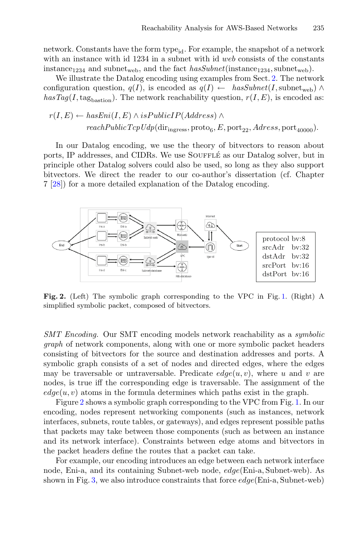network. Constants have the form type $_{id}$ . For example, the snapshot of a network with an instance with id 1234 in a subnet with id web consists of the constants instance<sub>1234</sub> and subnet<sub>web</sub>, and the fact  $hasSubnet$ (instance<sub>1234</sub>, subnet<sub>web</sub>).

We illustrate the Datalog encoding using examples from Sect. [2.](#page-2-1) The network configuration question,  $q(I)$ , is encoded as  $q(I) \leftarrow \text{hasSubnet}(I, \text{subnet}_{web}) \wedge$  $hasTag(I, tag_{\text{bastion}})$ . The network reachability question,  $r(I, E)$ , is encoded as:

$$
r(I, E) \leftarrow hasEni(I, E) \land isPublicIP(Address) \land
$$
  

$$
reachPublicTopUdp(\text{dir}\,\text{ingress}, \text{proto}_6, E, \text{port}_{22}, \text{Adress}, \text{port}_{40000}).
$$

In our Datalog encoding, we use the theory of bitvectors to reason about ports, IP addresses, and CIDRs. We use SOUFFLE as our Datalog solver, but in principle other Datalog solvers could also be used, so long as they also support bitvectors. We direct the reader to our co-author's dissertation (cf. Chapter 7 [\[28\]](#page-10-3)) for a more detailed explanation of the Datalog encoding.



<span id="page-4-0"></span>**Fig. 2.** (Left) The symbolic graph corresponding to the VPC in Fig. [1.](#page-2-0) (Right) A simplified symbolic packet, composed of bitvectors.

*SMT Encoding.* Our SMT encoding models network reachability as a *symbolic graph* of network components, along with one or more symbolic packet headers consisting of bitvectors for the source and destination addresses and ports. A symbolic graph consists of a set of nodes and directed edges, where the edges may be traversable or untraversable. Predicate  $edge(u, v)$ , where u and v are nodes, is true iff the corresponding edge is traversable. The assignment of the  $edge(u, v)$  atoms in the formula determines which paths exist in the graph.

Figure [2](#page-4-0) shows a symbolic graph corresponding to the VPC from Fig. [1.](#page-2-0) In our encoding, nodes represent networking components (such as instances, network interfaces, subnets, route tables, or gateways), and edges represent possible paths that packets may take between those components (such as between an instance and its network interface). Constraints between edge atoms and bitvectors in the packet headers define the routes that a packet can take.

For example, our encoding introduces an edge between each network interface node, Eni-a, and its containing Subnet-web node, edge(Eni-a, Subnet-web). As shown in Fig. [3,](#page-5-0) we also introduce constraints that force  $edge(\text{Eni-a}, \text{Subnet-web})$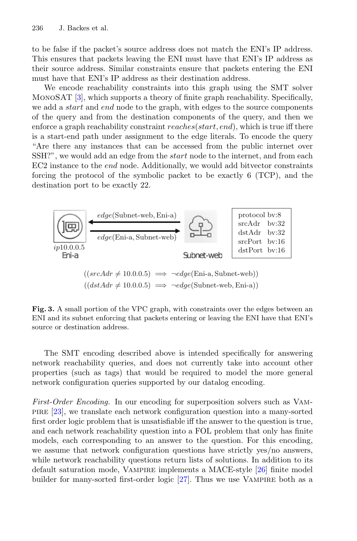to be false if the packet's source address does not match the ENI's IP address. This ensures that packets leaving the ENI must have that ENI's IP address as their source address. Similar constraints ensure that packets entering the ENI must have that ENI's IP address as their destination address.

We encode reachability constraints into this graph using the SMT solver MonoSAT [\[3\]](#page-8-3), which supports a theory of finite graph reachability. Specifically, we add a *start* and *end* node to the graph, with edges to the source components of the query and from the destination components of the query, and then we enforce a graph reachability constraint  $reaches(start, end)$ , which is true iff there is a start-end path under assignment to the edge literals. To encode the query "Are there any instances that can be accessed from the public internet over SSH?", we would add an edge from the *start* node to the internet, and from each EC2 instance to the end node. Additionally, we would add bitvector constraints forcing the protocol of the symbolic packet to be exactly 6 (TCP), and the destination port to be exactly 22.



<span id="page-5-0"></span>**Fig. 3.** A small portion of the VPC graph, with constraints over the edges between an ENI and its subnet enforcing that packets entering or leaving the ENI have that ENI's source or destination address.

The SMT encoding described above is intended specifically for answering network reachability queries, and does not currently take into account other properties (such as tags) that would be required to model the more general network configuration queries supported by our datalog encoding.

*First-Order Encoding.* In our encoding for superposition solvers such as Vampire [\[23\]](#page-10-0), we translate each network configuration question into a many-sorted first order logic problem that is unsatisfiable iff the answer to the question is true, and each network reachability question into a FOL problem that only has finite models, each corresponding to an answer to the question. For this encoding, we assume that network configuration questions have strictly yes/no answers, while network reachability questions return lists of solutions. In addition to its default saturation mode, VAMPIRE implements a MACE-style [\[26\]](#page-10-5) finite model builder for many-sorted first-order logic  $[27]$ . Thus we use VAMPIRE both as a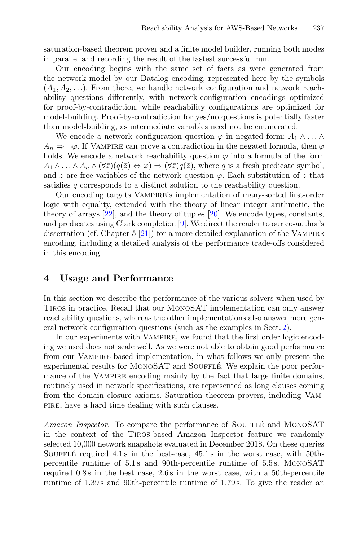saturation-based theorem prover and a finite model builder, running both modes in parallel and recording the result of the fastest successful run.

Our encoding begins with the same set of facts as were generated from the network model by our Datalog encoding, represented here by the symbols  $(A_1, A_2,...)$ . From there, we handle network configuration and network reachability questions differently, with network-configuration encodings optimized for proof-by-contradiction, while reachability configurations are optimized for model-building. Proof-by-contradiction for yes/no questions is potentially faster than model-building, as intermediate variables need not be enumerated.

We encode a network configuration question  $\varphi$  in negated form:  $A_1 \wedge \ldots \wedge$  $A_n \Rightarrow \neg \varphi$ . If VAMPIRE can prove a contradiction in the negated formula, then  $\varphi$ holds. We encode a network reachability question  $\varphi$  into a formula of the form  $A_1 \wedge \ldots \wedge A_n \wedge (\forall \bar{z})(q(\bar{z}) \Leftrightarrow \varphi) \Rightarrow (\forall \bar{z})q(\bar{z})$ , where q is a fresh predicate symbol, and  $\bar{z}$  are free variables of the network question  $\varphi$ . Each substitution of  $\bar{z}$  that satisfies q corresponds to a distinct solution to the reachability question.

Our encoding targets Vampire's implementation of many-sorted first-order logic with equality, extended with the theory of linear integer arithmetic, the theory of arrays [\[22\]](#page-10-6), and the theory of tuples [\[20](#page-9-14)]. We encode types, constants, and predicates using Clark completion [\[9\]](#page-9-13). We direct the reader to our co-author's dissertation (cf. Chapter  $5 \text{ [21]}$  $5 \text{ [21]}$  $5 \text{ [21]}$ ) for a more detailed explanation of the VAMPIRE encoding, including a detailed analysis of the performance trade-offs considered in this encoding.

#### **4 Usage and Performance**

In this section we describe the performance of the various solvers when used by Tiros in practice. Recall that our MonoSAT implementation can only answer reachability questions, whereas the other implementations also answer more general network configuration questions (such as the examples in Sect. [2\)](#page-2-1).

In our experiments with VAMPIRE, we found that the first order logic encoding we used does not scale well. As we were not able to obtain good performance from our Vampire-based implementation, in what follows we only present the experimental results for MONOSAT and SOUFFLE. We explain the poor performance of the VAMPIRE encoding mainly by the fact that large finite domains, routinely used in network specifications, are represented as long clauses coming from the domain closure axioms. Saturation theorem provers, including Vampire, have a hard time dealing with such clauses.

*Amazon Inspector.* To compare the performance of SOUFFLE and MONOSAT in the context of the Tiros-based Amazon Inspector feature we randomly selected 10,000 network snapshots evaluated in December 2018. On these queries SOUFFLE required  $4.1 s$  in the best-case,  $45.1 s$  in the worst case, with  $50th$ percentile runtime of 5.1 s and 90th-percentile runtime of 5.5 s. MonoSAT required 0.8 s in the best case, 2.6 s in the worst case, with a 50th-percentile runtime of 1.39 s and 90th-percentile runtime of 1.79 s. To give the reader an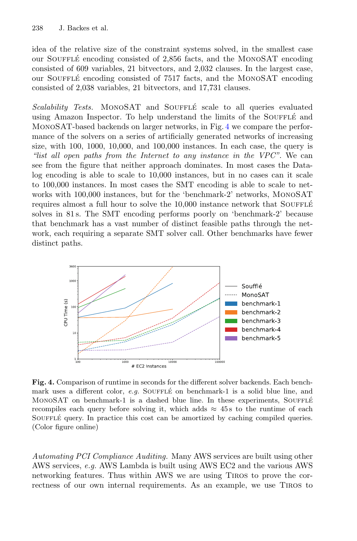idea of the relative size of the constraint systems solved, in the smallest case our Souffle´ encoding consisted of 2,856 facts, and the MonoSAT encoding consisted of 609 variables, 21 bitvectors, and 2,032 clauses. In the largest case, our Souffle´ encoding consisted of 7517 facts, and the MonoSAT encoding consisted of 2,038 variables, 21 bitvectors, and 17,731 clauses.

*Scalability Tests.* MONOSAT and SOUFFLE<sup> $\circ$ </sup> scale to all queries evaluated using Amazon Inspector. To help understand the limits of the SOUFFLÉ and MonoSAT-based backends on larger networks, in Fig. [4](#page-7-0) we compare the performance of the solvers on a series of artificially generated networks of increasing size, with 100, 1000, 10,000, and 100,000 instances. In each case, the query is *"list all open paths from the Internet to any instance in the VPC"*. We can see from the figure that neither approach dominates. In most cases the Datalog encoding is able to scale to 10,000 instances, but in no cases can it scale to 100,000 instances. In most cases the SMT encoding is able to scale to networks with 100,000 instances, but for the 'benchmark-2' networks, MonoSAT requires almost a full hour to solve the  $10,000$  instance network that SOUFFLE solves in 81 s. The SMT encoding performs poorly on 'benchmark-2' because that benchmark has a vast number of distinct feasible paths through the network, each requiring a separate SMT solver call. Other benchmarks have fewer distinct paths.



<span id="page-7-0"></span>**Fig. 4.** Comparison of runtime in seconds for the different solver backends. Each benchmark uses a different color, *e.g.* SOUFFLE on benchmark-1 is a solid blue line, and MonoSAT on benchmark-1 is a dashed blue line. In these experiments, SOUFFLE recompiles each query before solving it, which adds  $\approx 45$  s to the runtime of each SOUFFLÉ query. In practice this cost can be amortized by caching compiled queries. (Color figure online)

*Automating PCI Compliance Auditing.* Many AWS services are built using other AWS services, *e.g.* AWS Lambda is built using AWS EC2 and the various AWS networking features. Thus within AWS we are using Tiros to prove the correctness of our own internal requirements. As an example, we use Tiros to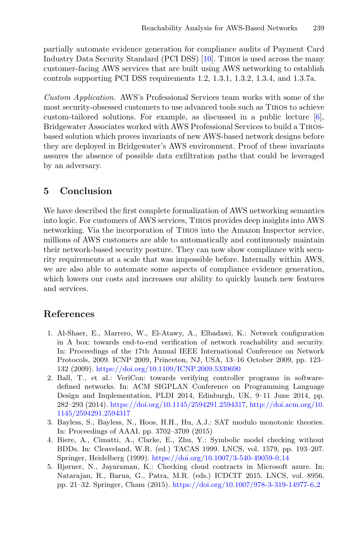partially automate evidence generation for compliance audits of Payment Card Industry Data Security Standard (PCI DSS) [\[10](#page-9-5)]. Tiros is used across the many customer-facing AWS services that are built using AWS networking to establish controls supporting PCI DSS requirements 1.2, 1.3.1, 1.3.2, 1.3.4, and 1.3.7a.

*Custom Application.* AWS's Professional Services team works with some of the most security-obsessed customers to use advanced tools such as Tiros to achieve custom-tailored solutions. For example, as discussed in a public lecture [\[6\]](#page-9-6), Bridgewater Associates worked with AWS Professional Services to build a Tirosbased solution which proves invariants of new AWS-based network designs before they are deployed in Bridgewater's AWS environment. Proof of these invariants assures the absence of possible data exfiltration paths that could be leveraged by an adversary.

# **5 Conclusion**

We have described the first complete formalization of AWS networking semantics into logic. For customers of AWS services, Tiros provides deep insights into AWS networking. Via the incorporation of Tiros into the Amazon Inspector service, millions of AWS customers are able to automatically and continuously maintain their network-based security posture. They can now show compliance with security requirements at a scale that was impossible before. Internally within AWS, we are also able to automate some aspects of compliance evidence generation, which lowers our costs and increases our ability to quickly launch new features and services.

## **References**

- <span id="page-8-0"></span>1. Al-Shaer, E., Marrero, W., El-Atawy, A., Elbadawi, K.: Network configuration in A box: towards end-to-end verification of network reachability and security. In: Proceedings of the 17th Annual IEEE International Conference on Network Protocols, 2009. ICNP 2009, Princeton, NJ, USA, 13–16 October 2009, pp. 123– 132 (2009). <https://doi.org/10.1109/ICNP.2009.5339690>
- <span id="page-8-1"></span>2. Ball, T., et al.: VeriCon: towards verifying controller programs in softwaredefined networks. In: ACM SIGPLAN Conference on Programming Language Design and Implementation, PLDI 2014, Edinburgh, UK, 9–11 June 2014, pp. 282–293 (2014). [https://doi.org/10.1145/2594291.2594317,](https://doi.org/10.1145/2594291.2594317) [http://doi.acm.org/10.](http://doi.acm.org/10.1145/2594291.2594317) [1145/2594291.2594317](http://doi.acm.org/10.1145/2594291.2594317)
- <span id="page-8-3"></span>3. Bayless, S., Bayless, N., Hoos, H.H., Hu, A.J.: SAT modulo monotonic theories. In: Proceedings of AAAI, pp. 3702–3709 (2015)
- <span id="page-8-4"></span>4. Biere, A., Cimatti, A., Clarke, E., Zhu, Y.: Symbolic model checking without BDDs. In: Cleaveland, W.R. (ed.) TACAS 1999. LNCS, vol. 1579, pp. 193–207. Springer, Heidelberg (1999). [https://doi.org/10.1007/3-540-49059-0](https://doi.org/10.1007/3-540-49059-0_14) 14
- <span id="page-8-2"></span>5. Bjørner, N., Jayaraman, K.: Checking cloud contracts in Microsoft azure. In: Natarajan, R., Barua, G., Patra, M.R. (eds.) ICDCIT 2015. LNCS, vol. 8956, pp. 21–32. Springer, Cham (2015). [https://doi.org/10.1007/978-3-319-14977-6](https://doi.org/10.1007/978-3-319-14977-6_2) 2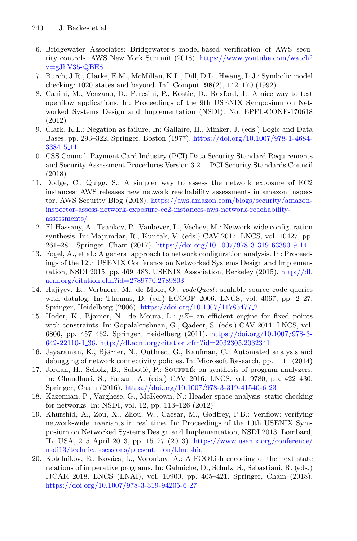- <span id="page-9-6"></span>6. Bridgewater Associates: Bridgewater's model-based verification of AWS security controls. AWS New York Summit (2018). [https://www.youtube.com/watch?](https://www.youtube.com/watch?v=gJhV35-QBE8) [v=gJhV35-QBE8](https://www.youtube.com/watch?v=gJhV35-QBE8)
- <span id="page-9-10"></span>7. Burch, J.R., Clarke, E.M., McMillan, K.L., Dill, D.L., Hwang, L.J.: Symbolic model checking: 1020 states and beyond. Inf. Comput. **98**(2), 142–170 (1992)
- <span id="page-9-1"></span>8. Canini, M., Venzano, D., Peresini, P., Kostic, D., Rexford, J.: A nice way to test openflow applications. In: Proceedings of the 9th USENIX Symposium on Networked Systems Design and Implementation (NSDI). No. EPFL-CONF-170618 (2012)
- <span id="page-9-13"></span>9. Clark, K.L.: Negation as failure. In: Gallaire, H., Minker, J. (eds.) Logic and Data Bases, pp. 293–322. Springer, Boston (1977). [https://doi.org/10.1007/978-1-4684-](https://doi.org/10.1007/978-1-4684-3384-5_11) [3384-5](https://doi.org/10.1007/978-1-4684-3384-5_11) 11
- <span id="page-9-5"></span>10. CSS Council. Payment Card Industry (PCI) Data Security Standard Requirements and Security Assessment Procedures Version 3.2.1. PCI Security Standards Council (2018)
- <span id="page-9-8"></span>11. Dodge, C., Quigg, S.: A simpler way to assess the network exposure of EC2 instances: AWS releases new network reachability assessments in amazon inspector. AWS Security Blog (2018). [https://aws.amazon.com/blogs/security/amazon](https://aws.amazon.com/blogs/security/amazon-inspector-assess-network-exposure-ec2-instances-aws-network-reachability-assessments/)[inspector-assess-network-exposure-ec2-instances-aws-network-reachability](https://aws.amazon.com/blogs/security/amazon-inspector-assess-network-exposure-ec2-instances-aws-network-reachability-assessments/)[assessments/](https://aws.amazon.com/blogs/security/amazon-inspector-assess-network-exposure-ec2-instances-aws-network-reachability-assessments/)
- <span id="page-9-2"></span>12. El-Hassany, A., Tsankov, P., Vanbever, L., Vechev, M.: Network-wide configuration synthesis. In: Majumdar, R., Kunčak, V. (eds.) CAV 2017. LNCS, vol. 10427, pp. 261–281. Springer, Cham (2017). [https://doi.org/10.1007/978-3-319-63390-9](https://doi.org/10.1007/978-3-319-63390-9_14) 14
- <span id="page-9-3"></span>13. Fogel, A., et al.: A general approach to network configuration analysis. In: Proceedings of the 12th USENIX Conference on Networked Systems Design and Implementation, NSDI 2015, pp. 469–483. USENIX Association, Berkeley (2015). [http://dl.](http://dl.acm.org/citation.cfm?id=2789770.2789803) [acm.org/citation.cfm?id=2789770.2789803](http://dl.acm.org/citation.cfm?id=2789770.2789803)
- <span id="page-9-11"></span>14. Hajiyev, E., Verbaere, M., de Moor, O.: *codeQuest*: scalable source code queries with datalog. In: Thomas, D. (ed.) ECOOP 2006. LNCS, vol. 4067, pp. 2–27. Springer, Heidelberg (2006). [https://doi.org/10.1007/11785477](https://doi.org/10.1007/11785477_2) 2
- <span id="page-9-9"></span>15. Hoder, K., Bjørner, N., de Moura, L.: *µZ*– an efficient engine for fixed points with constraints. In: Gopalakrishnan, G., Qadeer, S. (eds.) CAV 2011. LNCS, vol. 6806, pp. 457–462. Springer, Heidelberg (2011). [https://doi.org/10.1007/978-3-](https://doi.org/10.1007/978-3-642-22110-1_36) [642-22110-1](https://doi.org/10.1007/978-3-642-22110-1_36) 36. <http://dl.acm.org/citation.cfm?id=2032305.2032341>
- <span id="page-9-0"></span>16. Jayaraman, K., Bjørner, N., Outhred, G., Kaufman, C.: Automated analysis and debugging of network connectivity policies. In: Microsoft Research, pp. 1–11 (2014)
- <span id="page-9-12"></span>17. Jordan, H., Scholz, B., Subotić, P.: SOUFFLÉ: on synthesis of program analyzers. In: Chaudhuri, S., Farzan, A. (eds.) CAV 2016. LNCS, vol. 9780, pp. 422–430. Springer, Cham (2016). [https://doi.org/10.1007/978-3-319-41540-6](https://doi.org/10.1007/978-3-319-41540-6_23) 23
- <span id="page-9-7"></span>18. Kazemian, P., Varghese, G., McKeown, N.: Header space analysis: static checking for networks. In: NSDI, vol. 12, pp. 113–126 (2012)
- <span id="page-9-4"></span>19. Khurshid, A., Zou, X., Zhou, W., Caesar, M., Godfrey, P.B.: Veriflow: verifying network-wide invariants in real time. In: Proceedings of the 10th USENIX Symposium on Networked Systems Design and Implementation, NSDI 2013, Lombard, IL, USA, 2–5 April 2013, pp. 15–27 (2013). [https://www.usenix.org/conference/](https://www.usenix.org/conference/nsdi13/technical-sessions/presentation/khurshid) [nsdi13/technical-sessions/presentation/khurshid](https://www.usenix.org/conference/nsdi13/technical-sessions/presentation/khurshid)
- <span id="page-9-14"></span>20. Kotelnikov, E., Kovács, L., Voronkov, A.: A FOOLish encoding of the next state relations of imperative programs. In: Galmiche, D., Schulz, S., Sebastiani, R. (eds.) IJCAR 2018. LNCS (LNAI), vol. 10900, pp. 405–421. Springer, Cham (2018). [https://doi.org/10.1007/978-3-319-94205-6](https://doi.org/10.1007/978-3-319-94205-6_27) 27